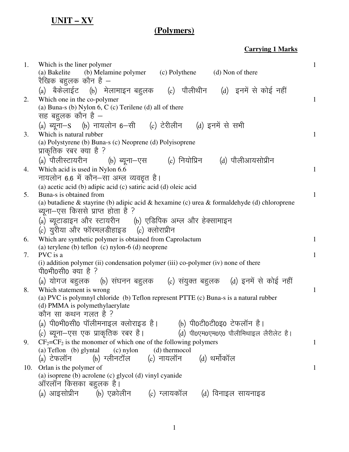## **UNIT – XV**

## **(Polymers)**

**Carrying 1 Marks** 

| 1.  | Which is the liner polymer<br>(a) Bakelite (b) Melamine polymer (c) Polythene (d) Non of there<br>रैखिक बहुलक कौन है —                                                                                                                                                                                 | $\mathbf{1}$ |
|-----|--------------------------------------------------------------------------------------------------------------------------------------------------------------------------------------------------------------------------------------------------------------------------------------------------------|--------------|
| 2.  | (a) बैकेलाईट (b) मेलामाइन बहुलक (c) पौलीथीन (d) इनमें से कोई नहीं<br>Which one in the co-polymer<br>(a) Buna-s (b) Nylon $6$ , C (c) Terilene (d) all of there<br>सह बहुलक कौन है –                                                                                                                    | 1            |
| 3.  | (a) ब्यूना-S (b) नायलोन 6-सी (c) टेरीलीन (d) इनमें से सभी<br>Which is natural rubber<br>(a) Polystyrene (b) Buna-s (c) Neoprene (d) Polyisoprene<br>प्राकृतिक रबर क्या है ?                                                                                                                            | $\mathbf{1}$ |
| 4.  | (a) पौलीस्टायरीन (b) ब्यूना-एस (c) नियोप्रिन (d) पौलीआयसोप्रीन<br>Which acid is used in Nylon 6.6<br>नायलोन 6.6 में कौन–सा अम्ल व्यवहृत है।                                                                                                                                                            | $\mathbf{1}$ |
| 5.  | (a) acetic acid (b) adipic acid (c) satiric acid (d) oleic acid<br>Buna-s is obtained from<br>(a) butadiene $\&$ stayrine (b) adipic acid $\&$ hexamine (c) urea $\&$ formaldehyde (d) chloroprene<br>ब्यूना–एस किससे प्राप्त होता है ?<br>(a) ब्यूटाडाइन और स्टायरीन    (b) एडिपिक अम्ल और हेक्सामाइन | $\mathbf{1}$ |
| 6.  | (c) युरीया और फॉरमलडीहाइड   (c) क्लोराप्रीन<br>Which are synthetic polymer is obtained from Caprolactum<br>(a) terylene (b) teflon (c) nylon- $6$ (d) neoprene                                                                                                                                         | $\mathbf{1}$ |
| 7.  | PVC is a<br>(i) addition polymer (ii) condensation polymer (iii) co-polymer (iv) none of there<br>पी0भी0सी0 क्या है ?                                                                                                                                                                                  | $\mathbf{1}$ |
| 8.  | (a) योगज बहुलक (b) संघनन बहुलक (c) संयुक्त बहुलक (d) इनमें से कोई नहीं<br>Which statement is wrong<br>(a) PVC is polymnyl chloride (b) Teflon represent PTTE (c) Buna-s is a natural rubber<br>(d) PMMA is polymethylaerylate<br>कौन सा कथन गलत है ?                                                   | $\mathbf{1}$ |
| 9.  | (a) पी0भी0सी0 पॉलीमनाइल क्लोराइड है।<br>(b) पी0टी0टी0इ0 टेफलॉन है।<br>(c) ब्यूना—एस एक प्राकृतिक रबर है।<br>(d) पी0एम0एम0ए0 पौलीमिथाइल लैरीलेट है।<br>$CF_2 = CF_2$ is the monomer of which one of the following polymers<br>(a) Teflon (b) glyntal<br>(d) thermocol<br>$(c)$ nylon                    | 1            |
| 10. | (b) ग्लीनटॉल       (c) नायलॉन       (d) थर्मोकॉल<br>(a) टेफलॉन<br>Orlan is the polymer of<br>(a) isoprene (b) acrolene (c) glycol (d) vinyl cyanide<br>ऑरलॉन किसका बहुलक है।<br>(a) आइसोप्रीन      (b) एक्रोलीन      (c) ग्लायकॉल     (d) विनाइल सायनाइड                                               | 1            |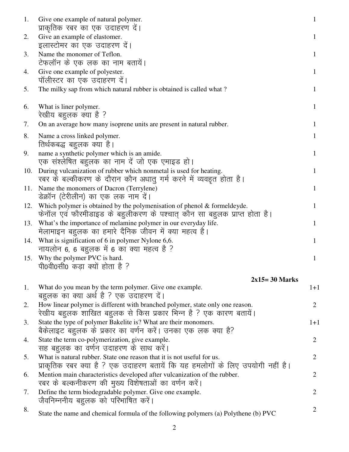| 1.  | Give one example of natural polymer.<br>प्राकृतिक रबर का एक उदाहरण दें।                                                                                 | 1              |
|-----|---------------------------------------------------------------------------------------------------------------------------------------------------------|----------------|
| 2.  | Give an example of elastomer.<br>इलास्टोमर का एक उदाहरण दें।                                                                                            | 1              |
| 3.  | Name the monomer of Teflon.<br>टेफलॉन के एक लक का नाम बतायें।                                                                                           | 1              |
| 4.  | Give one example of polyester.<br>पॉलीस्टर का एक उदाहरण दें।                                                                                            | 1              |
| 5.  | The milky sap from which natural rubber is obtained is called what?                                                                                     | 1              |
| 6.  | What is liner polymer.<br>रेखीय बहुलक क्या है ?                                                                                                         | 1              |
| 7.  | On an average how many isoprene units are present in natural rubber.                                                                                    | 1              |
| 8.  | Name a cross linked polymer.<br>तिर्थकबद्ध बहुलक क्या है।                                                                                               | 1              |
| 9.  | name a synthetic polymer which is an amide.<br>एक संश्लेषित बहुलक का नाम दें जो एक एमाइड हो।                                                            | 1              |
| 10. | During vulcanization of rubber which nonmetal is used for heating.<br>रबर के बल्कीकरण के दौरान कौन अधातु गर्म करने में व्यवहृत होता है।                 | 1              |
| 11. | Name the monomers of Dacron (Terrylene)<br>डेक्रॉन (टेरीलीन) का एक लक नाम दें।                                                                          |                |
| 12. | Which polymer is obtained by the polymenisation of phenol $\&$ formeldeyde.<br>फेनॉल एवं फौरमीडाइड के बहुलीकरण के पश्चात् कौन सा बहुलक प्राप्त होता है। | 1              |
| 13. | What's the importance of melamine polymer in our everyday life.<br>मेलामाइन बहुलक का हमारे दैनिक जीवन में क्या महत्व है।                                | 1              |
| 14. | What is signification of 6 in polymer Nylone 6,6.<br>नायलोन 6, 6 बहुलक में 6 का क्या महत्व है ?                                                         | 1              |
| 15. | Why the polymer PVC is hard.<br>पी0वी0सी0 कड़ा क्यों होता है ?                                                                                          | 1              |
|     | $2x15=30$ Marks                                                                                                                                         |                |
| 1.  | What do you mean by the term polymer. Give one example.<br>बहुलक का क्या अर्थ है ? एक उदाहरण दें।                                                       | $1+1$          |
| 2.  | How linear polymer is different with branched polymer, state only one reason.<br>रेखीय बहुलक शाखित बहुलक से किस प्रकार भिन्न है ? एक कारण बतायें।       | $\overline{2}$ |
| 3.  | State the type of polymer Bakelite is? What are their monomers.<br>बैकेलाइट बहुलक के प्रकार का वर्णन करें। उनका एक लक क्या है?                          | $1+1$          |
| 4.  | State the term co-polymerization, give example.<br>सह बहुलक का वर्णन उदाहरण के साथ करें।                                                                | 2              |
| 5.  | What is natural rubber. State one reason that it is not useful for us.<br>प्राकृतिक रबर क्या है ? एक उदाहरण बतायें कि यह हमलोगों के लिए उपयोगी नहीं है। | 2              |
| 6.  | Mention main characteristics developed after vulcanization of the rubber.<br>रबर के बल्कनीकरण की मुख्य विशेषताओं का वर्णन करें।                         | $\overline{2}$ |
| 7.  | Define the term biodegradable polymer. Give one example.<br>जैवनिम्ननीय बहुलक को परिभाषित करें।                                                         | $\overline{2}$ |
| 8.  | State the name and chemical formula of the following polymers (a) Polythene (b) PVC                                                                     | 2              |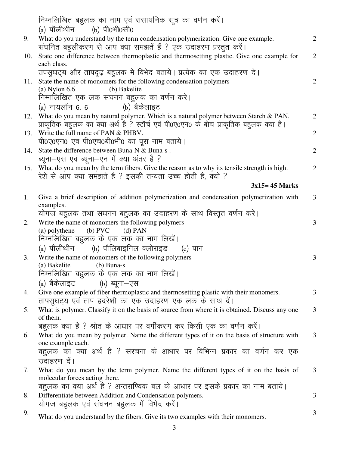|     | निम्नलिखित बहुलक का नाम एवं रासायनिक सूत्र का वर्णन करें।                                                              |                |
|-----|------------------------------------------------------------------------------------------------------------------------|----------------|
|     | (a) पॉलीथीन (b) पी0भी0सी0                                                                                              |                |
| 9.  | What do you understand by the term condensation polymerization. Give one example.                                      | $\overline{2}$ |
|     | संघनित बहुलीकरण से आप क्या समझतें हैं ? एक उदाहरण प्रस्तुत करें।                                                       |                |
| 10. | State one difference between thermoplastic and thermosetting plastic. Give one example for                             | $\overline{2}$ |
|     | each class.                                                                                                            |                |
|     | तपसुघट्य और तापदृढ़ बहुलक में विभेद बतायें। प्रत्येक का एक उदाहरण दें।                                                 |                |
| 11. | State the name of monomers for the following condensation polymers                                                     | $\overline{2}$ |
|     | $(a)$ Nylon 6,6<br>(b) Bakelite                                                                                        |                |
|     | निम्नलिखित एक लक संघनन बहुलक का वर्णन करें।                                                                            |                |
|     | (b) बैकेलाइट<br>$(a)$ नायलॉन 6, 6                                                                                      |                |
| 12. | What do you mean by natural polymer. Which is a natural polymer between Starch & PAN.                                  | $\overline{2}$ |
|     | प्राकृतिक बहुलक का क्या अर्थ है ? स्टॉर्च एवं पी0ए0एन0 के बीच प्राकृतिक बहुलक क्या है।                                 |                |
| 13. | Write the full name of PAN & PHBV.                                                                                     | $\overline{2}$ |
|     | पी0ए0एन0 एवं पी0एच0बी0भी0 का पूरा नाम बतायें।                                                                          |                |
| 14. | State the difference between Buna-N & Buna-s.                                                                          | $\overline{2}$ |
|     | ब्यूना–एस एवं ब्यूना–एन में क्या अंतर है ?                                                                             |                |
| 15. | What do you mean by the term fibers. Give the reason as to why its tensile strength is high.                           | $\overline{2}$ |
|     | रेशे से आप क्या समझते हैं ? इसकी तन्यता उच्च होती है, क्यों ?                                                          |                |
|     | $3x15 = 45$ Marks                                                                                                      |                |
|     |                                                                                                                        | 3              |
| 1.  | Give a brief description of addition polymerization and condensation polymerization with<br>examples.                  |                |
|     | योगज बहुलक तथा संघनन बहुलक का उदाहरण के साथ विस्तृत वर्णन करें।                                                        |                |
| 2.  | Write the name of monomers the following polymers                                                                      | 3              |
|     | $(b)$ PVC<br>(a) polythene<br>$(d)$ PAN                                                                                |                |
|     | निम्नलिखित बहुलक के एक लक का नाम लिखें।                                                                                |                |
|     | (a) पौलीथीन      (b) पौलिबाइनिल क्लोराइड     (c) पान                                                                   |                |
|     |                                                                                                                        |                |
| 3.  | Write the name of monomers of the following polymers<br>$(b)$ Buna-s<br>(a) Bakelite                                   | 3              |
|     | निम्नलिखित बहुलक के एक लक का नाम लिखें।                                                                                |                |
|     |                                                                                                                        |                |
|     | (a) बैकेलाइट         (b) ब्यूना–एस                                                                                     |                |
| 4.  | Give one example of fiber thermoplastic and thermosetting plastic with their monomers.                                 | 3              |
|     | तापसूघट्य एवं ताप हदरेशी का एक उदाहरण एक लक के साथ दें।                                                                |                |
| 5.  | What is polymer. Classify it on the basis of source from where it is obtained. Discuss any one<br>of them.             | 3              |
|     | बहूलक क्या है ? श्रोत के आधार पर वर्गीकरण कर किसी एक का वर्णन करें।                                                    |                |
|     |                                                                                                                        |                |
| 6.  | What do you mean by polymer. Name the different types of it on the basis of structure with<br>one example each.        | 3              |
|     | बहुलक का क्या अर्थ है ? संरचना के आधार पर विभिन्न प्रकार का वर्णन कर एक                                                |                |
|     | उदाहरण दें।                                                                                                            |                |
|     |                                                                                                                        |                |
| 7.  | What do you mean by the term polymer. Name the different types of it on the basis of<br>molecular forces acting there. | 3              |
|     | बहुलक का क्या अर्थ है ? अन्तराण्विक बल के आधार पर इसके प्रकार का नाम बतायें।                                           |                |
|     |                                                                                                                        | 3              |
| 8.  | Differentiate between Addition and Condensation polymers.<br>योगज बहुलक एवं संघनन बहुलक में विभेद करें।                |                |
|     |                                                                                                                        | 3              |
| 9.  | What do you understand by the fibers. Give its two examples with their monomers.                                       |                |